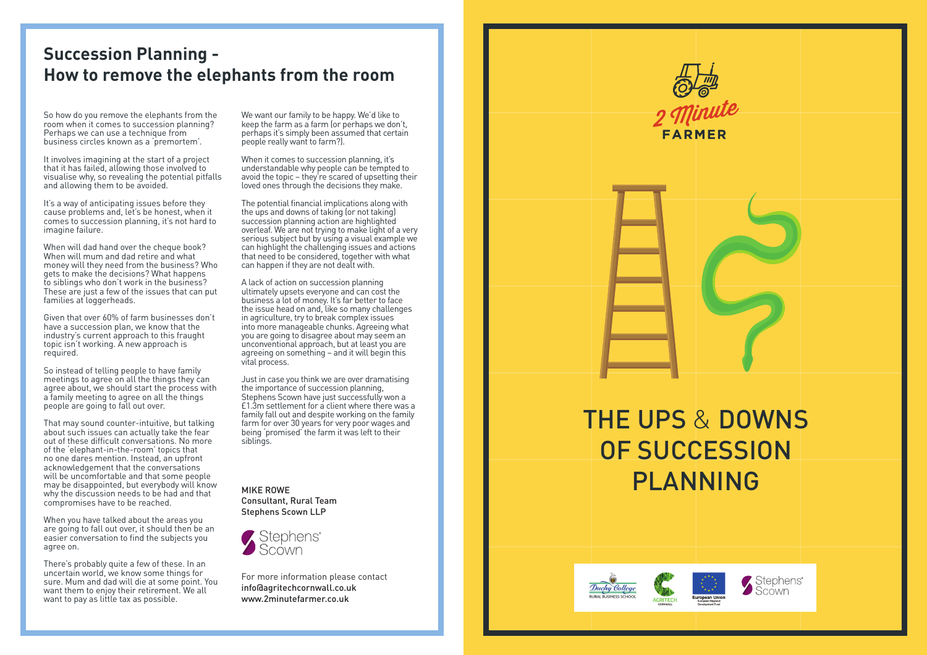## **Succession Planning - How to remove the elephants from the room**

So how do you remove the elephants from the room when it comes to succession planning? Perhaps we can use a technique from business circles known as a 'premortem'.

It involves imagining at the start of a project that it has failed, allowing those involved to visualise why, so revealing the potential pitfalls and allowing them to be avoided.

It's a way of anticipating issues before they cause problems and, let's be honest, when it comes to succession planning, it's not hard to imagine failure.

When will dad hand over the cheque book? When will mum and dad retire and what money will they need from the business? Who gets to make the decisions? What happens to siblings who don't work in the business? These are just a few of the issues that can put families at loggerheads.

Given that over 60% of farm businesses don't have a succession plan, we know that the industry's current approach to this fraught topic isn't working. A new approach is required.

So instead of telling people to have family meetings to agree on all the things they can agree about, we should start the process with a family meeting to agree on all the things people are going to fall out over.

That may sound counter-intuitive, but talking about such issues can actually take the fear out of these difficult conversations. No more of the 'elephant-in-the-room' topics that no one dares mention. Instead, an upfront acknowledgement that the conversations will be uncomfortable and that some people may be disappointed, but everybody will know why the discussion needs to be had and that compromises have to be reached.

When you have talked about the areas you are going to fall out over, it should then be an easier conversation to find the subjects you agree on.

There's probably quite a few of these. In an uncertain world, we know some things for sure. Mum and dad will die at some point. You want them to enjoy their retirement. We all want to pay as little tax as possible.

We want our family to be happy. We'd like to keep the farm as a farm for perhaps we don't perhaps it's simply been assumed that certain people really want to farm?).

When it comes to succession planning, it's understandable why people can be tempted to avoid the topic – they're scared of upsetting their loved ones through the decisions they make.

The potential financial implications along with the ups and downs of taking (or not taking) succession planning action are highlighted overleaf. We are not trying to make light of a very serious subject but by using a visual example we can highlight the challenging issues and actions that need to be considered, together with what can happen if they are not dealt with.

A lack of action on succession planning ultimately upsets everyone and can cost the business a lot of money. It's far better to face the issue head on and, like so many challenges in agriculture, try to break complex issues into more manageable chunks. Agreeing what you are going to disagree about may seem an unconventional approach, but at least you are agreeing on something – and it will begin this vital process.

Just in case you think we are over dramatising the importance of succession planning, Stephens Scown have just successfully won a £1.3m settlement for a client where there was a family fall out and despite working on the family farm for over 30 years for very poor wages and being 'promised' the farm it was left to their siblings.

MIKE ROWE Consultant, Rural Team Stephens Scown LLP



For more information please contact info@agritechcornwall.co.uk www.2minutefarmer.co.uk

## THE UPS & DOWNS OF SUCCESSION PLANNING

FARMEE